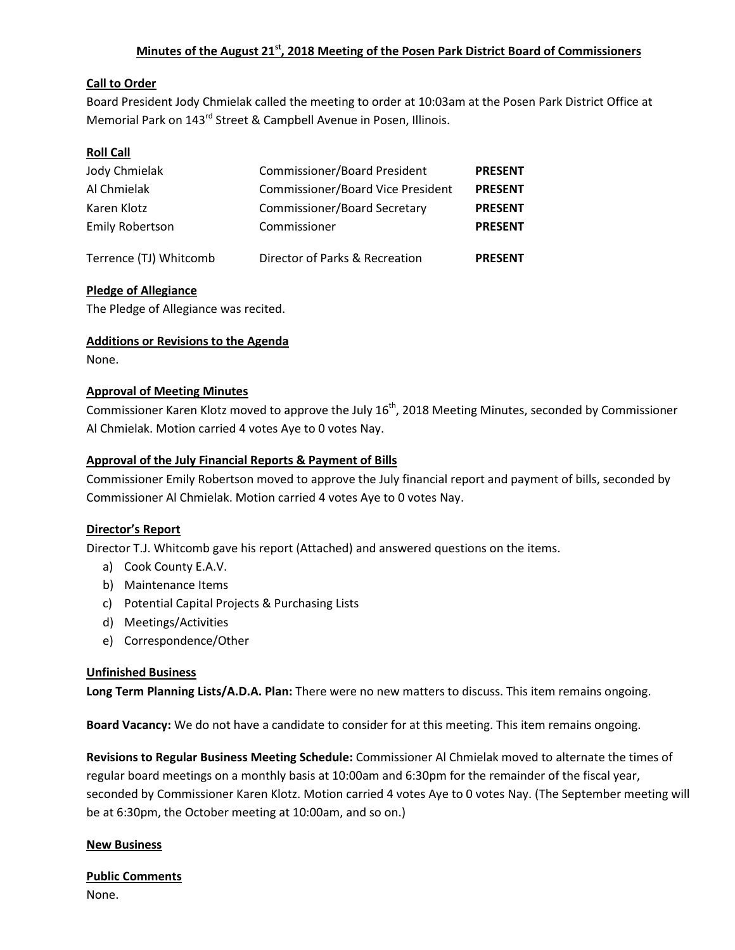### **Minutes of the August 21st, 2018 Meeting of the Posen Park District Board of Commissioners**

### **Call to Order**

Board President Jody Chmielak called the meeting to order at 10:03am at the Posen Park District Office at Memorial Park on 143<sup>rd</sup> Street & Campbell Avenue in Posen, Illinois.

### **Roll Call**

| Jody Chmielak<br>Al Chmielak<br>Karen Klotz | <b>Commissioner/Board President</b><br><b>Commissioner/Board Vice President</b><br><b>Commissioner/Board Secretary</b> | <b>PRESENT</b><br><b>PRESENT</b><br><b>PRESENT</b> |                        |                                |                |
|---------------------------------------------|------------------------------------------------------------------------------------------------------------------------|----------------------------------------------------|------------------------|--------------------------------|----------------|
|                                             |                                                                                                                        |                                                    | <b>Emily Robertson</b> | Commissioner                   | <b>PRESENT</b> |
|                                             |                                                                                                                        |                                                    | Terrence (TJ) Whitcomb | Director of Parks & Recreation | <b>PRESENT</b> |

### **Pledge of Allegiance**

The Pledge of Allegiance was recited.

### **Additions or Revisions to the Agenda**

None.

#### **Approval of Meeting Minutes**

Commissioner Karen Klotz moved to approve the July 16<sup>th</sup>, 2018 Meeting Minutes, seconded by Commissioner Al Chmielak. Motion carried 4 votes Aye to 0 votes Nay.

#### **Approval of the July Financial Reports & Payment of Bills**

Commissioner Emily Robertson moved to approve the July financial report and payment of bills, seconded by Commissioner Al Chmielak. Motion carried 4 votes Aye to 0 votes Nay.

#### **Director's Report**

Director T.J. Whitcomb gave his report (Attached) and answered questions on the items.

- a) Cook County E.A.V.
- b) Maintenance Items
- c) Potential Capital Projects & Purchasing Lists
- d) Meetings/Activities
- e) Correspondence/Other

#### **Unfinished Business**

**Long Term Planning Lists/A.D.A. Plan:** There were no new matters to discuss. This item remains ongoing.

**Board Vacancy:** We do not have a candidate to consider for at this meeting. This item remains ongoing.

**Revisions to Regular Business Meeting Schedule:** Commissioner Al Chmielak moved to alternate the times of regular board meetings on a monthly basis at 10:00am and 6:30pm for the remainder of the fiscal year, seconded by Commissioner Karen Klotz. Motion carried 4 votes Aye to 0 votes Nay. (The September meeting will be at 6:30pm, the October meeting at 10:00am, and so on.)

#### **New Business**

#### **Public Comments**

None.